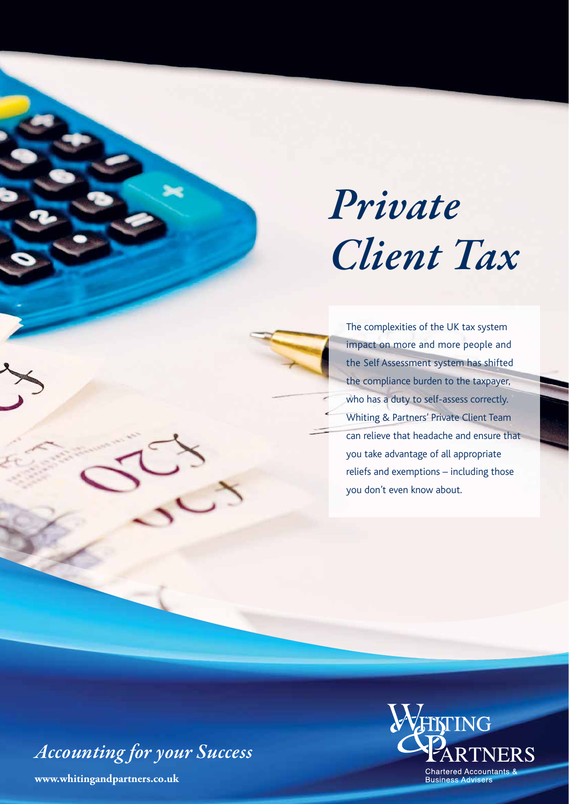# *Private Client Tax*

The complexities of the UK tax system impact on more and more people and the Self Assessment system has shifted the compliance burden to the taxpayer, who has a duty to self-assess correctly. Whiting & Partners' Private Client Team can relieve that headache and ensure that you take advantage of all appropriate reliefs and exemptions – including those you don't even know about.

*Accounting for your Success*

**www.whitingandpartners.co.uk**